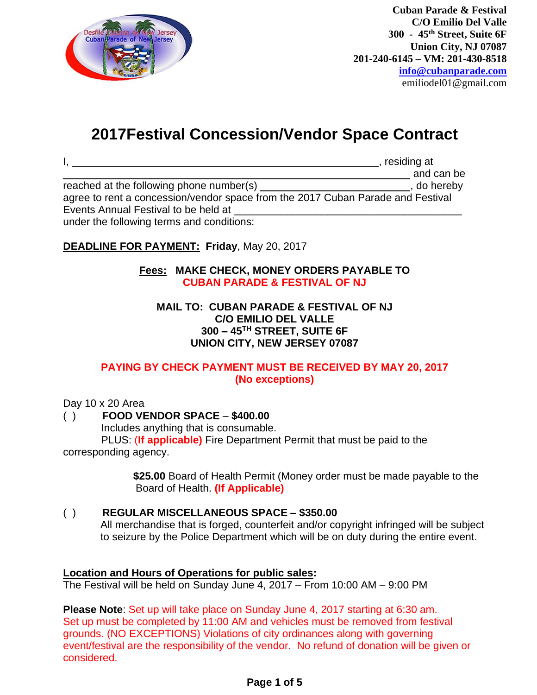

## **2017Festival Concession/Vendor Space Contract**

|                                                                                 | , residing at |
|---------------------------------------------------------------------------------|---------------|
|                                                                                 | and can be    |
| reached at the following phone number(s)                                        | , do hereby   |
| agree to rent a concession/vendor space from the 2017 Cuban Parade and Festival |               |
| Events Annual Festival to be held at                                            |               |
| under the following terms and conditions:                                       |               |

### **DEADLINE FOR PAYMENT: Friday**, May 20, 2017

#### **Fees: MAKE CHECK, MONEY ORDERS PAYABLE TO CUBAN PARADE & FESTIVAL OF NJ**

#### **MAIL TO: CUBAN PARADE & FESTIVAL OF NJ C/O EMILIO DEL VALLE 300 – 45TH STREET, SUITE 6F UNION CITY, NEW JERSEY 07087**

#### **PAYING BY CHECK PAYMENT MUST BE RECEIVED BY MAY 20, 2017 (No exceptions)**

#### Day 10 x 20 Area

#### ( ) **FOOD VENDOR SPACE** – **\$400.00**

Includes anything that is consumable.

 PLUS: (**If applicable)** Fire Department Permit that must be paid to the corresponding agency.

> **\$25.00** Board of Health Permit (Money order must be made payable to the Board of Health. **(If Applicable)**

#### ( ) **REGULAR MISCELLANEOUS SPACE – \$350.00**

All merchandise that is forged, counterfeit and/or copyright infringed will be subject to seizure by the Police Department which will be on duty during the entire event.

#### **Location and Hours of Operations for public sales:**

The Festival will be held on Sunday June 4, 2017 – From 10:00 AM – 9:00 PM

**Please Note**: Set up will take place on Sunday June 4, 2017 starting at 6:30 am. Set up must be completed by 11:00 AM and vehicles must be removed from festival grounds. (NO EXCEPTIONS) Violations of city ordinances along with governing event/festival are the responsibility of the vendor. No refund of donation will be given or considered.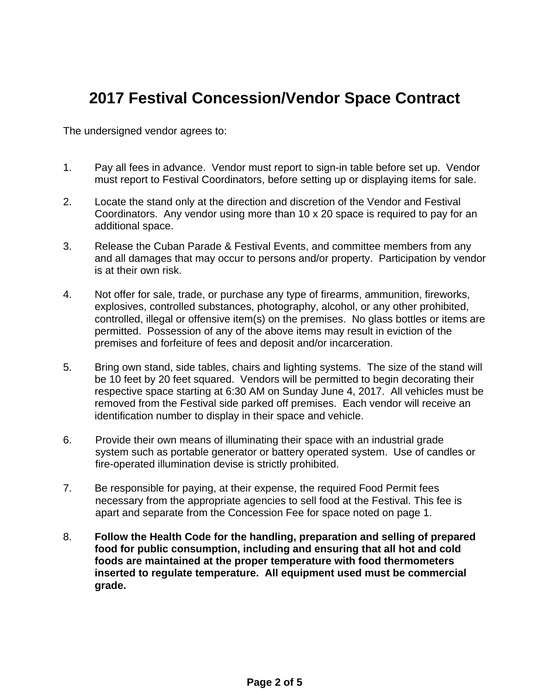# **2017 Festival Concession/Vendor Space Contract**

The undersigned vendor agrees to:

- 1. Pay all fees in advance. Vendor must report to sign-in table before set up. Vendor must report to Festival Coordinators, before setting up or displaying items for sale.
- 2. Locate the stand only at the direction and discretion of the Vendor and Festival Coordinators. Any vendor using more than 10 x 20 space is required to pay for an additional space.
- 3. Release the Cuban Parade & Festival Events, and committee members from any and all damages that may occur to persons and/or property. Participation by vendor is at their own risk.
- 4. Not offer for sale, trade, or purchase any type of firearms, ammunition, fireworks, explosives, controlled substances, photography, alcohol, or any other prohibited, controlled, illegal or offensive item(s) on the premises. No glass bottles or items are permitted. Possession of any of the above items may result in eviction of the premises and forfeiture of fees and deposit and/or incarceration.
- 5. Bring own stand, side tables, chairs and lighting systems. The size of the stand will be 10 feet by 20 feet squared. Vendors will be permitted to begin decorating their respective space starting at 6:30 AM on Sunday June 4, 2017. All vehicles must be removed from the Festival side parked off premises. Each vendor will receive an identification number to display in their space and vehicle.
- 6. Provide their own means of illuminating their space with an industrial grade system such as portable generator or battery operated system. Use of candles or fire-operated illumination devise is strictly prohibited.
- 7. Be responsible for paying, at their expense, the required Food Permit fees necessary from the appropriate agencies to sell food at the Festival. This fee is apart and separate from the Concession Fee for space noted on page 1.
- 8. **Follow the Health Code for the handling, preparation and selling of prepared food for public consumption, including and ensuring that all hot and cold foods are maintained at the proper temperature with food thermometers inserted to regulate temperature. All equipment used must be commercial grade.**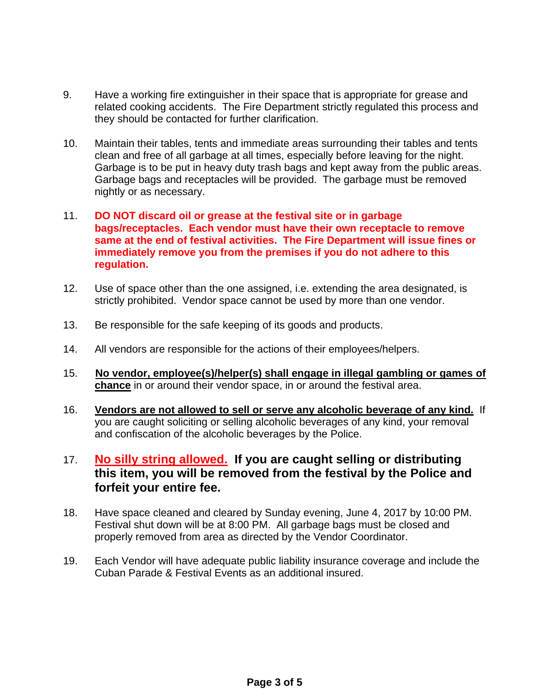- 9. Have a working fire extinguisher in their space that is appropriate for grease and related cooking accidents. The Fire Department strictly regulated this process and they should be contacted for further clarification.
- 10. Maintain their tables, tents and immediate areas surrounding their tables and tents clean and free of all garbage at all times, especially before leaving for the night. Garbage is to be put in heavy duty trash bags and kept away from the public areas. Garbage bags and receptacles will be provided. The garbage must be removed nightly or as necessary.
- 11. **DO NOT discard oil or grease at the festival site or in garbage bags/receptacles. Each vendor must have their own receptacle to remove same at the end of festival activities. The Fire Department will issue fines or immediately remove you from the premises if you do not adhere to this regulation.**
- 12. Use of space other than the one assigned, i.e. extending the area designated, is strictly prohibited. Vendor space cannot be used by more than one vendor.
- 13. Be responsible for the safe keeping of its goods and products.
- 14. All vendors are responsible for the actions of their employees/helpers.
- 15. **No vendor, employee(s)/helper(s) shall engage in illegal gambling or games of chance** in or around their vendor space, in or around the festival area.
- 16. **Vendors are not allowed to sell or serve any alcoholic beverage of any kind.** If you are caught soliciting or selling alcoholic beverages of any kind, your removal and confiscation of the alcoholic beverages by the Police.
- 17. **No silly string allowed. If you are caught selling or distributing this item, you will be removed from the festival by the Police and forfeit your entire fee.**
- 18. Have space cleaned and cleared by Sunday evening, June 4, 2017 by 10:00 PM. Festival shut down will be at 8:00 PM. All garbage bags must be closed and properly removed from area as directed by the Vendor Coordinator.
- 19. Each Vendor will have adequate public liability insurance coverage and include the Cuban Parade & Festival Events as an additional insured.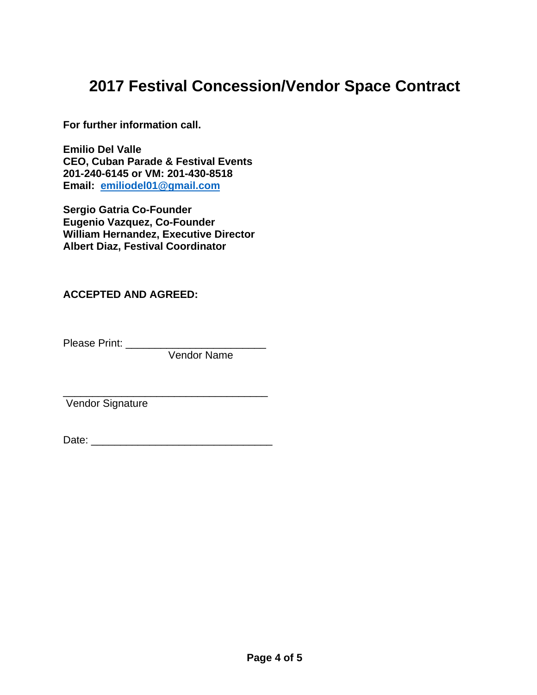## **2017 Festival Concession/Vendor Space Contract**

**For further information call.**

**Emilio Del Valle CEO, Cuban Parade & Festival Events 201-240-6145 or VM: 201-430-8518 Email: [emiliodel01@gmail.com](mailto:emiliodel01@gmail.com)**

**Sergio Gatria Co-Founder Eugenio Vazquez, Co-Founder William Hernandez, Executive Director Albert Diaz, Festival Coordinator**

### **ACCEPTED AND AGREED:**

Please Print: \_\_\_\_\_\_\_\_\_\_

Vendor Name

Vendor Signature

| Date: |
|-------|
|-------|

\_\_\_\_\_\_\_\_\_\_\_\_\_\_\_\_\_\_\_\_\_\_\_\_\_\_\_\_\_\_\_\_\_\_\_